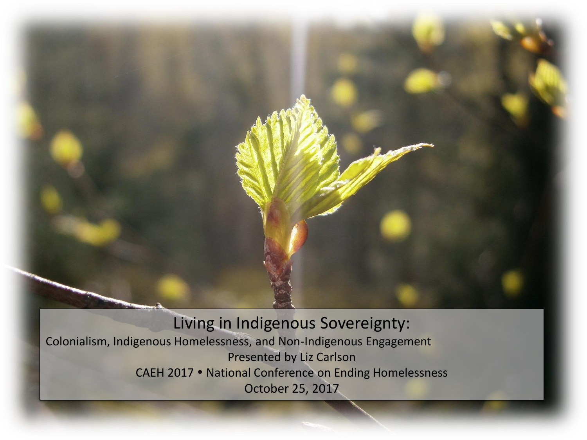

Living in Indigenous Sovereignty: Colonialism, Indigenous Homelessness, and Non-Indigenous Engagement Presented by Liz Carlson CAEH 2017 National Conference on Ending Homelessness October 25, 2017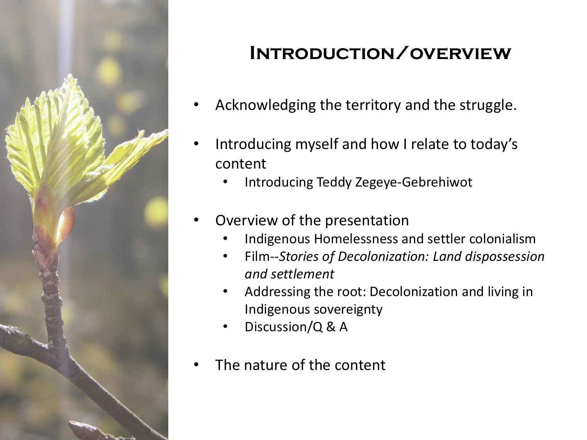

## **Introduction/overview**

- Acknowledging the territory and the struggle.
- Introducing myself and how I relate to today's content
	- Introducing Teddy Zegeye-Gebrehiwot
- Overview of the presentation
	- Indigenous Homelessness and settler colonialism
	- Film--*Stories of Decolonization: Land dispossession and settlement*
	- Addressing the root: Decolonization and living in Indigenous sovereignty
	- Discussion/Q & A
- The nature of the content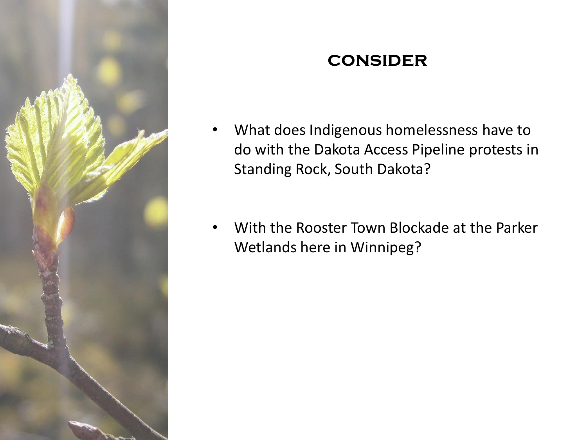

#### **consider**

- What does Indigenous homelessness have to do with the Dakota Access Pipeline protests in Standing Rock, South Dakota?
- With the Rooster Town Blockade at the Parker Wetlands here in Winnipeg?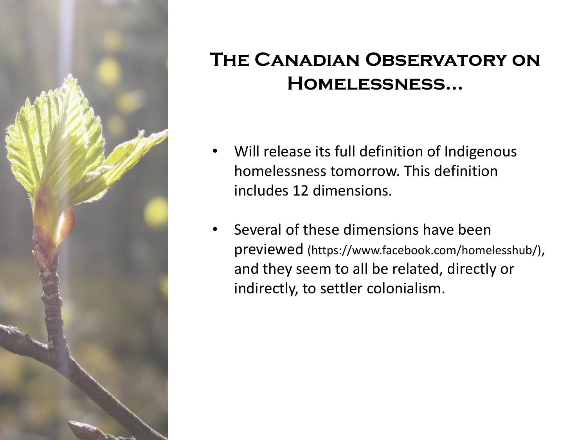

### **The Canadian Observatory on Homelessness…**

- Will release its full definition of Indigenous homelessness tomorrow. This definition includes 12 dimensions.
- Several of these dimensions have been previewed (https://www.facebook.com/homelesshub/), and they seem to all be related, directly or indirectly, to settler colonialism.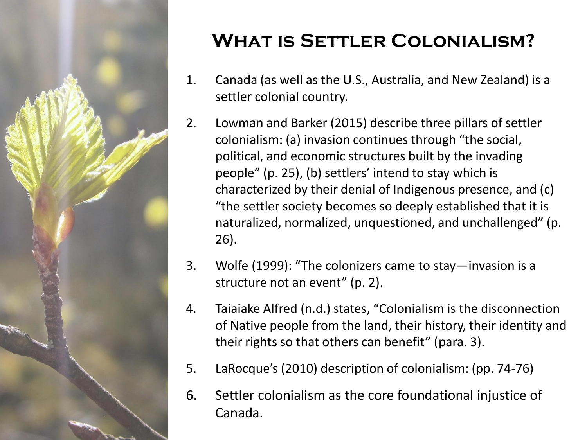

# **What is Settler Colonialism?**

- 1. Canada (as well as the U.S., Australia, and New Zealand) is a settler colonial country.
- 2. Lowman and Barker (2015) describe three pillars of settler colonialism: (a) invasion continues through "the social, political, and economic structures built by the invading people" (p. 25), (b) settlers' intend to stay which is characterized by their denial of Indigenous presence, and (c) "the settler society becomes so deeply established that it is naturalized, normalized, unquestioned, and unchallenged" (p. 26).
- 3. Wolfe (1999): "The colonizers came to stay—invasion is a structure not an event" (p. 2).
- 4. Taiaiake Alfred (n.d.) states, "Colonialism is the disconnection of Native people from the land, their history, their identity and their rights so that others can benefit" (para. 3).
- 5. LaRocque's (2010) description of colonialism: (pp. 74-76)
- 6. Settler colonialism as the core foundational injustice of Canada.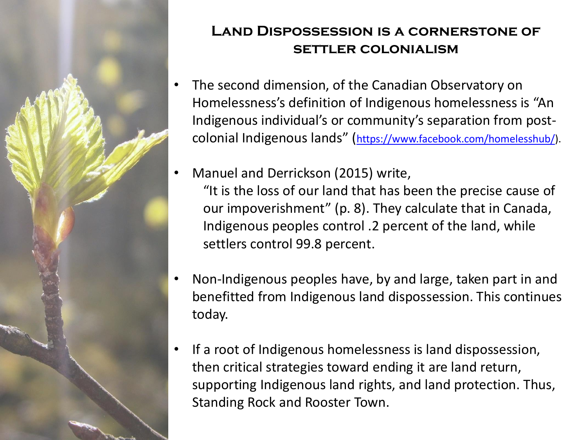

#### **Land Dispossession is a cornerstone of settler colonialism**

- The second dimension, of the Canadian Observatory on Homelessness's definition of Indigenous homelessness is "An Indigenous individual's or community's separation from postcolonial Indigenous lands" ([https://www.facebook.com/homelesshub/\)](https://www.facebook.com/homelesshub/).
- Manuel and Derrickson (2015) write, "It is the loss of our land that has been the precise cause of our impoverishment" (p. 8). They calculate that in Canada, Indigenous peoples control .2 percent of the land, while settlers control 99.8 percent.
- Non-Indigenous peoples have, by and large, taken part in and benefitted from Indigenous land dispossession. This continues today.
- If a root of Indigenous homelessness is land dispossession, then critical strategies toward ending it are land return, supporting Indigenous land rights, and land protection. Thus, Standing Rock and Rooster Town.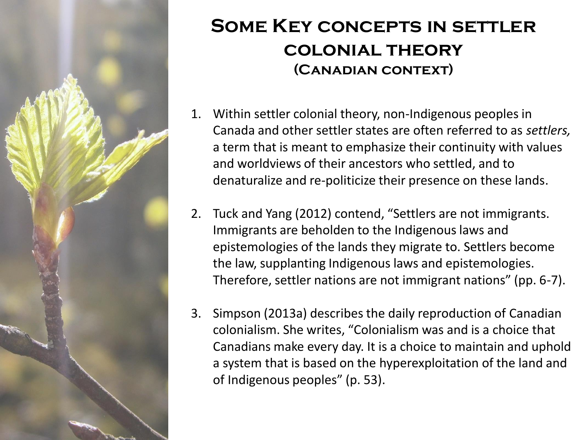

### **Some Key concepts in settler colonial theory (Canadian context)**

- 1. Within settler colonial theory, non-Indigenous peoples in Canada and other settler states are often referred to as *settlers,* a term that is meant to emphasize their continuity with values and worldviews of their ancestors who settled, and to denaturalize and re-politicize their presence on these lands.
- 2. Tuck and Yang (2012) contend, "Settlers are not immigrants. Immigrants are beholden to the Indigenous laws and epistemologies of the lands they migrate to. Settlers become the law, supplanting Indigenous laws and epistemologies. Therefore, settler nations are not immigrant nations" (pp. 6-7).
- 3. Simpson (2013a) describes the daily reproduction of Canadian colonialism. She writes, "Colonialism was and is a choice that Canadians make every day. It is a choice to maintain and uphold a system that is based on the hyperexploitation of the land and of Indigenous peoples" (p. 53).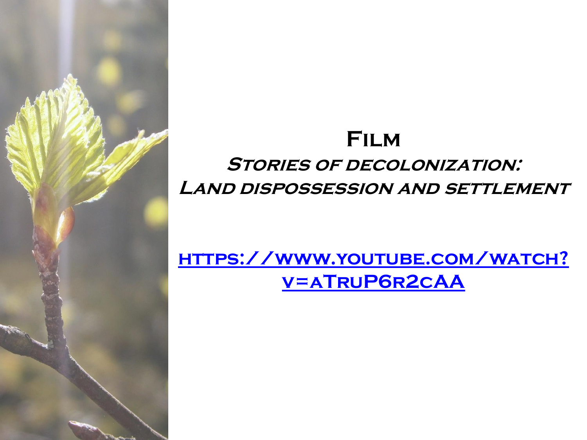# **Film Stories of decolonization: Land dispossession and settlement**

# **[https://www.youtube.com/watch?](https://www.youtube.com/watch?v=aTruP6r2cAA) v=aTruP6r2cAA**

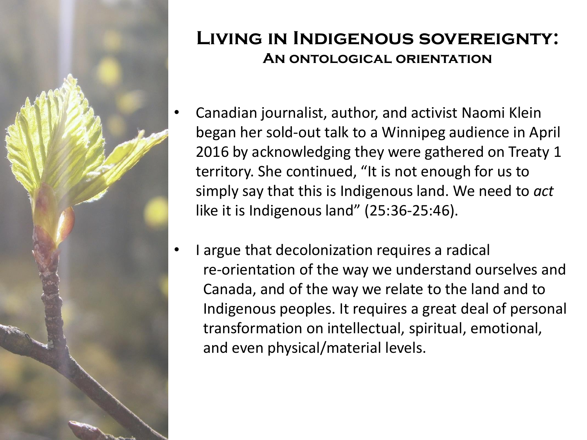

#### **Living in Indigenous sovereignty: An ontological orientation**

- Canadian journalist, author, and activist Naomi Klein began her sold-out talk to a Winnipeg audience in April 2016 by acknowledging they were gathered on Treaty 1 territory. She continued, "It is not enough for us to simply say that this is Indigenous land. We need to *act* like it is Indigenous land" (25:36-25:46).
- I argue that decolonization requires a radical re-orientation of the way we understand ourselves and Canada, and of the way we relate to the land and to Indigenous peoples. It requires a great deal of personal transformation on intellectual, spiritual, emotional, and even physical/material levels.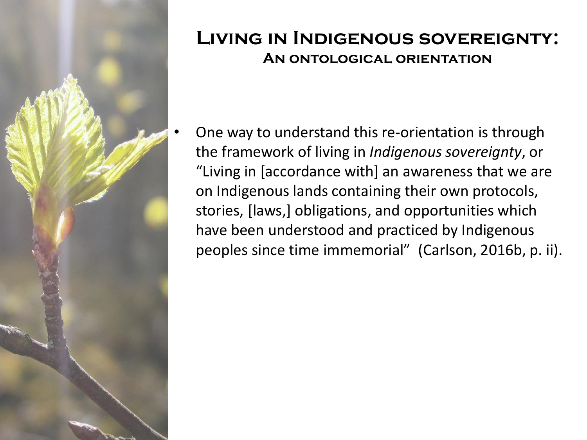

#### **Living in Indigenous sovereignty: An ontological orientation**

• One way to understand this re-orientation is through the framework of living in *Indigenous sovereignty*, or "Living in [accordance with] an awareness that we are on Indigenous lands containing their own protocols, stories, [laws,] obligations, and opportunities which have been understood and practiced by Indigenous peoples since time immemorial" (Carlson, 2016b, p. ii).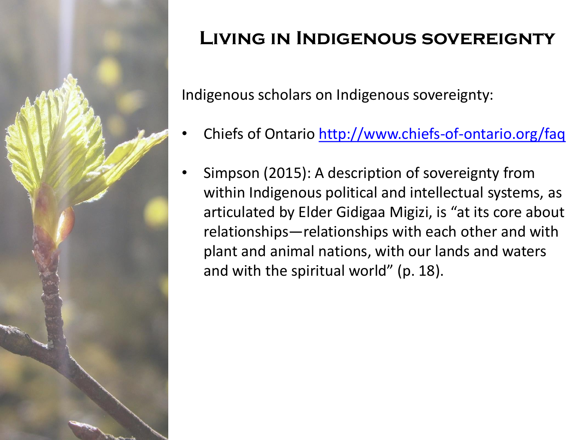

# **Living in Indigenous sovereignty**

Indigenous scholars on Indigenous sovereignty:

- Chiefs of Ontario <http://www.chiefs-of-ontario.org/faq>
- Simpson (2015): A description of sovereignty from within Indigenous political and intellectual systems, as articulated by Elder Gidigaa Migizi, is "at its core about relationships—relationships with each other and with plant and animal nations, with our lands and waters and with the spiritual world" (p. 18).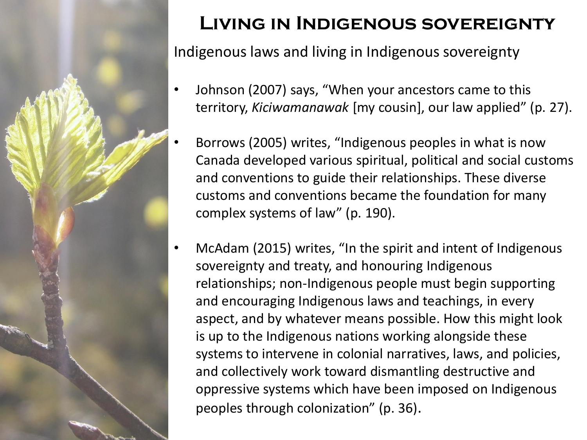

# **Living in Indigenous sovereignty**

Indigenous laws and living in Indigenous sovereignty

- Johnson (2007) says, "When your ancestors came to this territory, *Kiciwamanawak* [my cousin], our law applied" (p. 27).
- Borrows (2005) writes, "Indigenous peoples in what is now Canada developed various spiritual, political and social customs and conventions to guide their relationships. These diverse customs and conventions became the foundation for many complex systems of law" (p. 190).
- McAdam (2015) writes, "In the spirit and intent of Indigenous sovereignty and treaty, and honouring Indigenous relationships; non-Indigenous people must begin supporting and encouraging Indigenous laws and teachings, in every aspect, and by whatever means possible. How this might look is up to the Indigenous nations working alongside these systems to intervene in colonial narratives, laws, and policies, and collectively work toward dismantling destructive and oppressive systems which have been imposed on Indigenous peoples through colonization" (p. 36).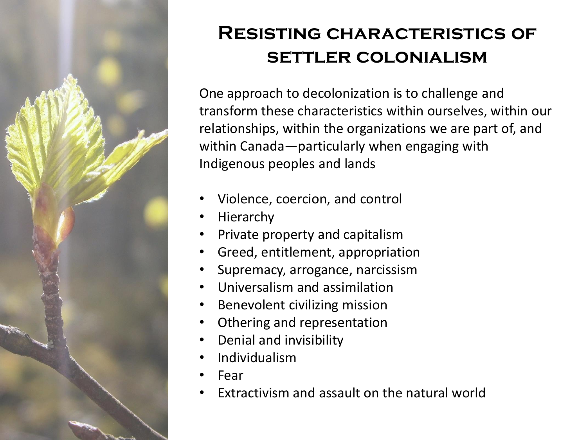

### **Resisting characteristics of settler colonialism**

One approach to decolonization is to challenge and transform these characteristics within ourselves, within our relationships, within the organizations we are part of, and within Canada—particularly when engaging with Indigenous peoples and lands

- Violence, coercion, and control
- Hierarchy
- Private property and capitalism
- Greed, entitlement, appropriation
- Supremacy, arrogance, narcissism
- Universalism and assimilation
- Benevolent civilizing mission
- Othering and representation
- Denial and invisibility
- Individualism
- Fear
- Extractivism and assault on the natural world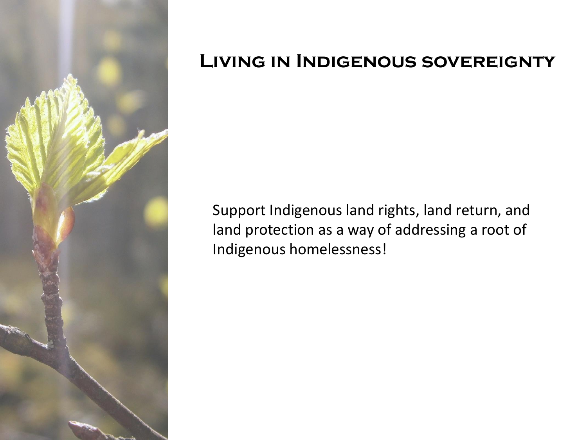

### **Living in Indigenous sovereignty**

Support Indigenous land rights, land return, and land protection as a way of addressing a root of Indigenous homelessness!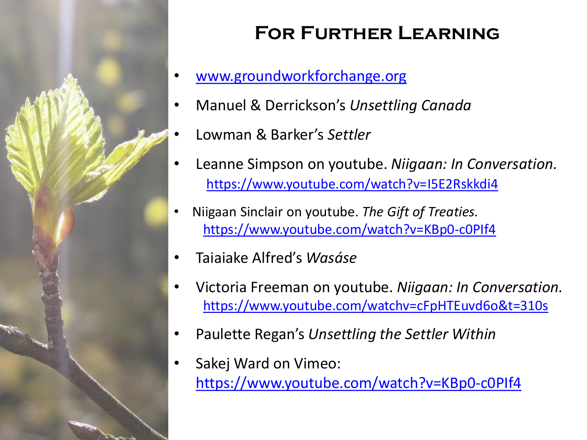

# **For Further Learning**

- [www.groundworkforchange.org](http://www.groundworkforchange.org)
- Manuel & Derrickson's *Unsettling Canada*
- Lowman & Barker's *Settler*
- Leanne Simpson on youtube. *Niigaan: In Conversation.*  <https://www.youtube.com/watch?v=I5E2Rskkdi4>
- Niigaan Sinclair on youtube. *The Gift of Treaties.* <https://www.youtube.com/watch?v=KBp0-c0PIf4>
- Taiaiake Alfred's *Wasáse*
- Victoria Freeman on youtube. *Niigaan: In Conversation.* <https://www.youtube.com/watchv=cFpHTEuvd6o&t=310s>
- Paulette Regan's *Unsettling the Settler Within*
- Sakej Ward on Vimeo: <https://www.youtube.com/watch?v=KBp0-c0PIf4>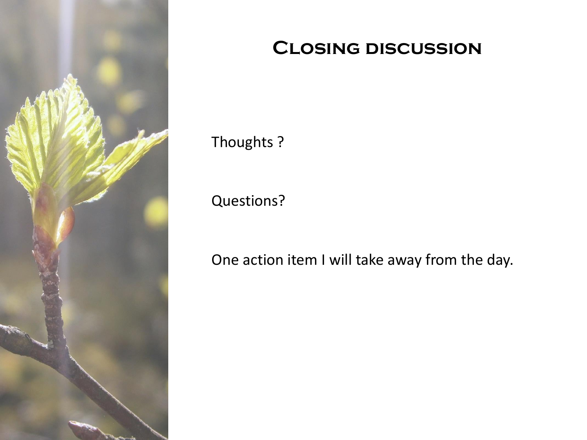

### **Closing discussion**

Thoughts ?

Questions?

One action item I will take away from the day.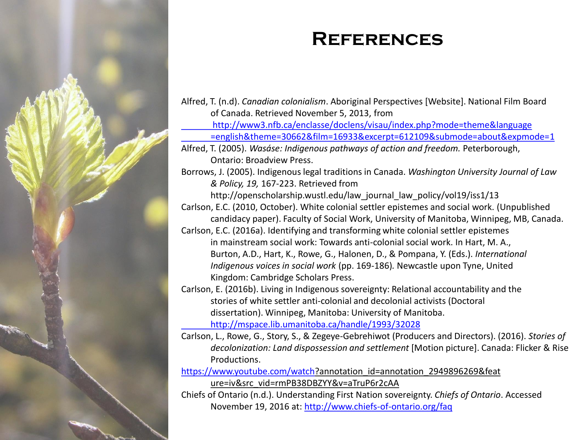

### **References**

Alfred, T. (n.d). *Canadian colonialism*. Aboriginal Perspectives [Website]. National Film Board of Canada. Retrieved November 5, 2013, from <http://www3.nfb.ca/enclasse/doclens/visau/index.php?mode=theme&language> [=english&theme=30662&film=16933&excerpt=612109&submode=about&expmode=1](http://www3.nfb.ca/enclasse/doclens/visau/index.php?mode=theme&language=english&theme=30662&film=16933&excerpt=612109&submode=about&expmode=1) Alfred, T. (2005). *Wasáse: Indigenous pathways of action and freedom.* Peterborough, Ontario: Broadview Press. Borrows, J. (2005). Indigenous legal traditions in Canada. *Washington University Journal of Law & Policy, 19,* 167-223. Retrieved from http://openscholarship.wustl.edu/law\_journal\_law\_policy/vol19/iss1/13 Carlson, E.C. (2010, October). White colonial settler epistemes and social work. (Unpublished candidacy paper). Faculty of Social Work, University of Manitoba, Winnipeg, MB, Canada. Carlson, E.C. (2016a). Identifying and transforming white colonial settler epistemes in mainstream social work: Towards anti-colonial social work. In Hart, M. A., Burton, A.D., Hart, K., Rowe, G., Halonen, D., & Pompana, Y. (Eds.). *International Indigenous voices in social work* (pp. 169-186)*.* Newcastle upon Tyne, United Kingdom: Cambridge Scholars Press. Carlson, E. (2016b). Living in Indigenous sovereignty: Relational accountability and the stories of white settler anti-colonial and decolonial activists (Doctoral dissertation). Winnipeg, Manitoba: University of Manitoba. <http://mspace.lib.umanitoba.ca/handle/1993/32028> Carlson, L., Rowe, G., Story, S., & Zegeye-Gebrehiwot (Producers and Directors). (2016). *Stories of decolonization: Land dispossession and settlement* [Motion picture]. Canada: Flicker & Rise Productions. <https://www.youtube.com/watch>?annotation\_id=annotation\_2949896269&feat ure=iv&src\_vid=rmPB38DBZYY&v=aTruP6r2cAA Chiefs of Ontario (n.d.). Understanding First Nation sovereignty. *Chiefs of Ontario*. Accessed November 19, 2016 at:<http://www.chiefs-of-ontario.org/faq>